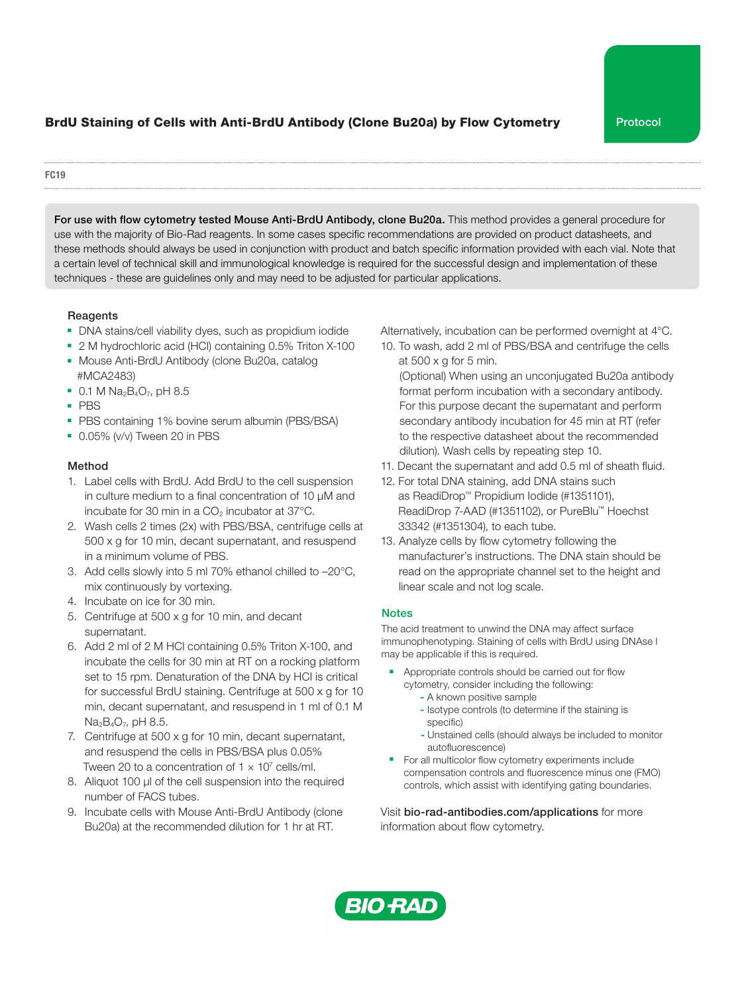# BrdU Staining of Cells with Anti-BrdU Antibody (Clone Bu20a) by Flow Cytometry Protocol

#### FC19

For use with flow cytometry tested Mouse Anti-BrdU Antibody, clone Bu20a. This method provides a general procedure for use with the majority of Bio-Rad reagents. In some cases specific recommendations are provided on product datasheets, and these methods should always be used in conjunction with product and batch specific information provided with each vial. Note that a certain level of technical skill and immunological knowledge is required for the successful design and implementation of these techniques - these are guidelines only and may need to be adjusted for particular applications.

### Reagents

- DNA stains/cell viability dyes, such as propidium iodide
- 2 M hydrochloric acid (HCl) containing 0.5% Triton X-100
- Mouse Anti-BrdU Antibody (clone Bu20a, catalog #MCA2483)
- $\bullet$  0.1 M Na<sub>2</sub>B<sub>4</sub>O<sub>7</sub>, pH 8.5
- PBS
- PBS containing 1% bovine serum albumin (PBS/BSA)
- 0.05% (v/v) Tween 20 in PBS

## Method

- 1. Label cells with BrdU. Add BrdU to the cell suspension in culture medium to a final concentration of 10 µM and incubate for 30 min in a  $CO<sub>2</sub>$  incubator at 37 $^{\circ}$ C.
- 2. Wash cells 2 times (2x) with PBS/BSA, centrifuge cells at 500 x g for 10 min, decant supernatant, and resuspend in a minimum volume of PBS.
- 3. Add cells slowly into 5 ml 70% ethanol chilled to –20°C, mix continuously by vortexing.
- 4. Incubate on ice for 30 min.
- 5. Centrifuge at 500 x g for 10 min, and decant supernatant.
- 6. Add 2 ml of 2 M HCl containing 0.5% Triton X-100, and incubate the cells for 30 min at RT on a rocking platform set to 15 rpm. Denaturation of the DNA by HCI is critical for successful BrdU staining. Centrifuge at 500 x g for 10 min, decant supernatant, and resuspend in 1 ml of 0.1 M  $Na<sub>2</sub>B<sub>4</sub>O<sub>7</sub>$ , pH 8.5.
- 7. Centrifuge at 500 x g for 10 min, decant supernatant, and resuspend the cells in PBS/BSA plus 0.05% Tween 20 to a concentration of  $1 \times 10^7$  cells/ml.
- 8. Aliquot 100 µl of the cell suspension into the required number of FACS tubes.
- 9. Incubate cells with Mouse Anti-BrdU Antibody (clone Bu20a) at the recommended dilution for 1 hr at RT.

Alternatively, incubation can be performed overnight at 4°C.

10. To wash, add 2 ml of PBS/BSA and centrifuge the cells at  $500 \times g$  for 5 min.

 (Optional) When using an unconjugated Bu20a antibody format perform incubation with a secondary antibody. For this purpose decant the supernatant and perform secondary antibody incubation for 45 min at RT (refer to the respective datasheet about the recommended dilution). Wash cells by repeating step 10.

- 11. Decant the supernatant and add 0.5 ml of sheath fluid.
- 12. For total DNA staining, add DNA stains such as ReadiDrop™ Propidium Iodide (#1351101), ReadiDrop 7-AAD (#1351102), or PureBlu™ Hoechst 33342 (#1351304), to each tube.
- 13. Analyze cells by flow cytometry following the manufacturer's instructions. The DNA stain should be read on the appropriate channel set to the height and linear scale and not log scale.

## **Notes**

The acid treatment to unwind the DNA may affect surface immunophenotyping. Staining of cells with BrdU using DNAse I may be applicable if this is required.

- Appropriate controls should be carried out for flow cytometry, consider including the following:
	- A known positive sample
	- Isotype controls (to determine if the staining is specific)
	- Unstained cells (should always be included to monitor autofluorescence)
- For all multicolor flow cytometry experiments include compensation controls and fluorescence minus one (FMO) controls, which assist with identifying gating boundaries.

Visit bio-rad-antibodies.com/applications for more information about flow cytometry.